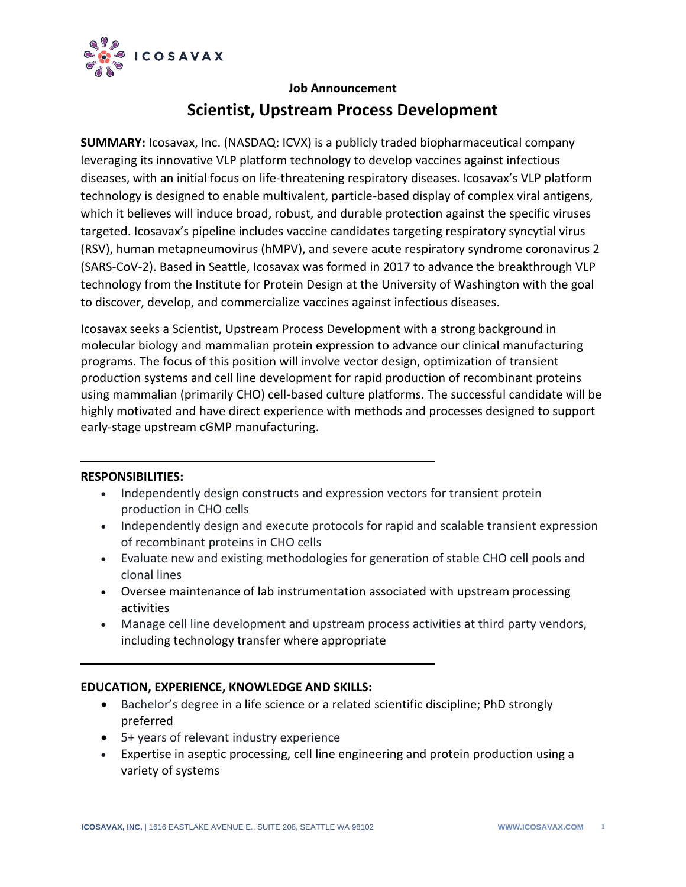

## **Job Announcement**

# **Scientist, Upstream Process Development**

**SUMMARY:** Icosavax, Inc. (NASDAQ: ICVX) is a publicly traded biopharmaceutical company leveraging its innovative VLP platform technology to develop vaccines against infectious diseases, with an initial focus on life-threatening respiratory diseases. Icosavax's VLP platform technology is designed to enable multivalent, particle-based display of complex viral antigens, which it believes will induce broad, robust, and durable protection against the specific viruses targeted. Icosavax's pipeline includes vaccine candidates targeting respiratory syncytial virus (RSV), human metapneumovirus (hMPV), and severe acute respiratory syndrome coronavirus 2 (SARS-CoV-2). Based in Seattle, Icosavax was formed in 2017 to advance the breakthrough VLP technology from the Institute for Protein Design at the University of Washington with the goal to discover, develop, and commercialize vaccines against infectious diseases.

Icosavax seeks a Scientist, Upstream Process Development with a strong background in molecular biology and mammalian protein expression to advance our clinical manufacturing programs. The focus of this position will involve vector design, optimization of transient production systems and cell line development for rapid production of recombinant proteins using mammalian (primarily CHO) cell-based culture platforms. The successful candidate will be highly motivated and have direct experience with methods and processes designed to support early-stage upstream cGMP manufacturing.

#### **RESPONSIBILITIES:**

- Independently design constructs and expression vectors for transient protein production in CHO cells
- Independently design and execute protocols for rapid and scalable transient expression of recombinant proteins in CHO cells
- Evaluate new and existing methodologies for generation of stable CHO cell pools and clonal lines
- Oversee maintenance of lab instrumentation associated with upstream processing activities
- Manage cell line development and upstream process activities at third party vendors, including technology transfer where appropriate

## **EDUCATION, EXPERIENCE, KNOWLEDGE AND SKILLS:**

- Bachelor's degree in a life science or a related scientific discipline; PhD strongly preferred
- 5+ years of relevant industry experience
- Expertise in aseptic processing, cell line engineering and protein production using a variety of systems